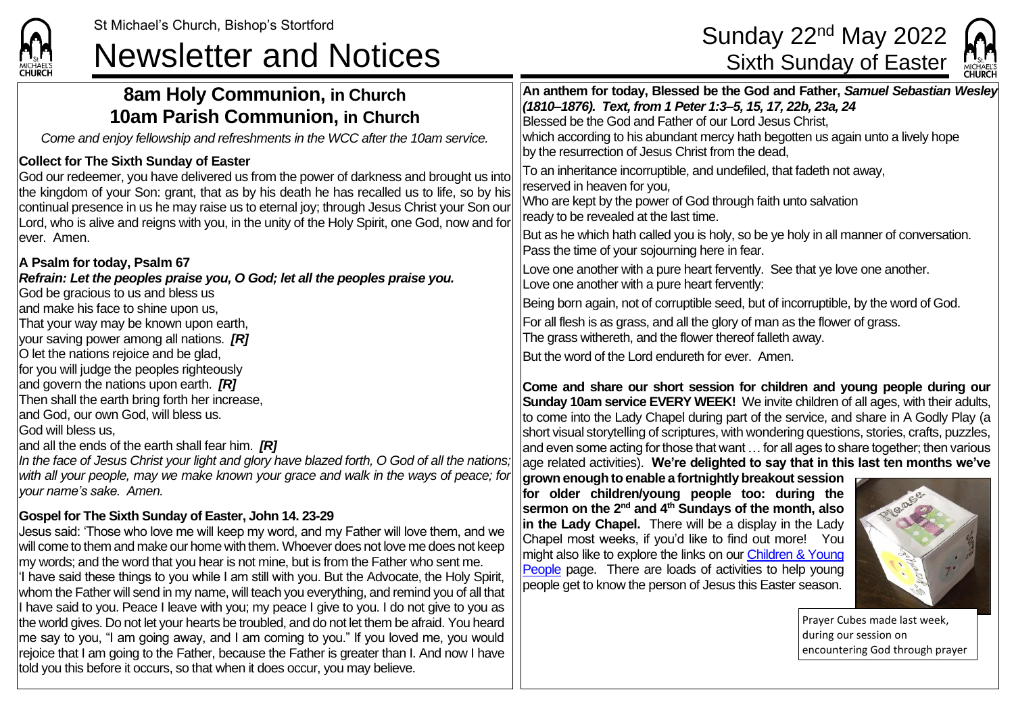# St Michael's Church, Bishop's Stortford Sunday 22<sup>nd</sup> May 2022<br> **Newsletter and Notices** Sixth Sunday of Easter



| 8am Holy Communion, in Church<br><b>10am Parish Communion, in Church</b><br>Come and enjoy fellowship and refreshments in the WCC after the 10am service.                                                                                                                                                                                                                                                                                                                                                                                                                                                                                                                                                                                                                                                                                                                                                                                                                                                  | An anthem for today, Blessed be the God and Father, Samuel Sebastian Wesley<br>(1810-1876). Text, from 1 Peter 1:3-5, 15, 17, 22b, 23a, 24<br>Blessed be the God and Father of our Lord Jesus Christ,<br>which according to his abundant mercy hath begotten us again unto a lively hope                                                                                                                                                                                                                                                                                                                                                                                                                                                                                                                                                                                                                                                             |  |  |
|------------------------------------------------------------------------------------------------------------------------------------------------------------------------------------------------------------------------------------------------------------------------------------------------------------------------------------------------------------------------------------------------------------------------------------------------------------------------------------------------------------------------------------------------------------------------------------------------------------------------------------------------------------------------------------------------------------------------------------------------------------------------------------------------------------------------------------------------------------------------------------------------------------------------------------------------------------------------------------------------------------|------------------------------------------------------------------------------------------------------------------------------------------------------------------------------------------------------------------------------------------------------------------------------------------------------------------------------------------------------------------------------------------------------------------------------------------------------------------------------------------------------------------------------------------------------------------------------------------------------------------------------------------------------------------------------------------------------------------------------------------------------------------------------------------------------------------------------------------------------------------------------------------------------------------------------------------------------|--|--|
| <b>Collect for The Sixth Sunday of Easter</b><br>God our redeemer, you have delivered us from the power of darkness and brought us into<br>the kingdom of your Son: grant, that as by his death he has recalled us to life, so by his<br>continual presence in us he may raise us to eternal joy; through Jesus Christ your Son our<br>Lord, who is alive and reigns with you, in the unity of the Holy Spirit, one God, now and for<br>lever. Amen.                                                                                                                                                                                                                                                                                                                                                                                                                                                                                                                                                       | by the resurrection of Jesus Christ from the dead,<br>To an inheritance incorruptible, and undefiled, that fadeth not away,<br>reserved in heaven for you,<br>Who are kept by the power of God through faith unto salvation<br>ready to be revealed at the last time.<br>But as he which hath called you is holy, so be ye holy in all manner of conversation.                                                                                                                                                                                                                                                                                                                                                                                                                                                                                                                                                                                       |  |  |
| A Psalm for today, Psalm 67<br>Refrain: Let the peoples praise you, O God; let all the peoples praise you.<br>God be gracious to us and bless us                                                                                                                                                                                                                                                                                                                                                                                                                                                                                                                                                                                                                                                                                                                                                                                                                                                           | Pass the time of your sojourning here in fear.<br>Love one another with a pure heart fervently. See that ye love one another.<br>Love one another with a pure heart fervently:                                                                                                                                                                                                                                                                                                                                                                                                                                                                                                                                                                                                                                                                                                                                                                       |  |  |
| and make his face to shine upon us,<br>That your way may be known upon earth,<br>your saving power among all nations. $[R]$                                                                                                                                                                                                                                                                                                                                                                                                                                                                                                                                                                                                                                                                                                                                                                                                                                                                                | Being born again, not of corruptible seed, but of incorruptible, by the word of God.<br>For all flesh is as grass, and all the glory of man as the flower of grass.<br>The grass withereth, and the flower thereof falleth away.<br>But the word of the Lord endureth for ever. Amen.<br>Come and share our short session for children and young people during our<br>Sunday 10am service EVERY WEEK! We invite children of all ages, with their adults,<br>to come into the Lady Chapel during part of the service, and share in A Godly Play (a<br>short visual storytelling of scriptures, with wondering questions, stories, crafts, puzzles,<br>and even some acting for those that want $\dots$ for all ages to share together; then various<br>age related activities). We're delighted to say that in this last ten months we've<br>grown enough to enable a fortnightly breakout session<br>for older children/young people too: during the |  |  |
| O let the nations rejoice and be glad,<br>for you will judge the peoples righteously<br>and govern the nations upon earth. $[R]$<br>Then shall the earth bring forth her increase,<br>and God, our own God, will bless us.<br>God will bless us,<br>and all the ends of the earth shall fear him. $[R]$<br>In the face of Jesus Christ your light and glory have blazed forth, O God of all the nations;<br>with all your people, may we make known your grace and walk in the ways of peace; for<br>vour name's sake. Amen.                                                                                                                                                                                                                                                                                                                                                                                                                                                                               |                                                                                                                                                                                                                                                                                                                                                                                                                                                                                                                                                                                                                                                                                                                                                                                                                                                                                                                                                      |  |  |
| Gospel for The Sixth Sunday of Easter, John 14. 23-29<br>Jesus said: 'Those who love me will keep my word, and my Father will love them, and we<br>will come to them and make our home with them. Whoever does not love me does not keep<br>my words; and the word that you hear is not mine, but is from the Father who sent me.<br>'I have said these things to you while I am still with you. But the Advocate, the Holy Spirit,<br>whom the Father will send in my name, will teach you everything, and remind you of all that<br>I have said to you. Peace I leave with you; my peace I give to you. I do not give to you as<br>the world gives. Do not let your hearts be troubled, and do not let them be afraid. You heard<br> me say to you, "I am going away, and I am coming to you." If you loved me, you would<br>rejoice that I am going to the Father, because the Father is greater than I. And now I have<br>told you this before it occurs, so that when it does occur, you may believe. | sermon on the 2 <sup>nd</sup> and 4 <sup>th</sup> Sundays of the month, also<br>in the Lady Chapel. There will be a display in the Lady<br>Chapel most weeks, if you'd like to find out more! You<br>might also like to explore the links on our <b>Children &amp; Young</b><br>People page. There are loads of activities to help young<br>people get to know the person of Jesus this Easter season.<br>Prayer Cubes made last week,<br>during our session on<br>encountering God through prayer                                                                                                                                                                                                                                                                                                                                                                                                                                                   |  |  |